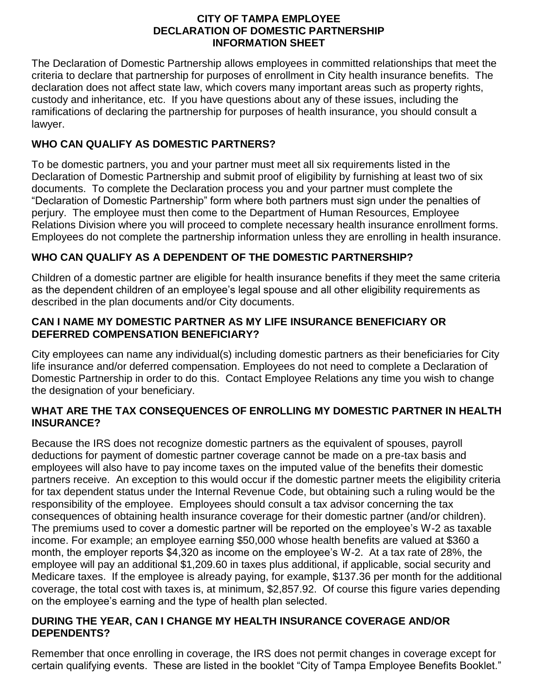#### **CITY OF TAMPA EMPLOYEE DECLARATION OF DOMESTIC PARTNERSHIP INFORMATION SHEET**

The Declaration of Domestic Partnership allows employees in committed relationships that meet the criteria to declare that partnership for purposes of enrollment in City health insurance benefits. The declaration does not affect state law, which covers many important areas such as property rights, custody and inheritance, etc. If you have questions about any of these issues, including the ramifications of declaring the partnership for purposes of health insurance, you should consult a lawyer.

# **WHO CAN QUALIFY AS DOMESTIC PARTNERS?**

To be domestic partners, you and your partner must meet all six requirements listed in the Declaration of Domestic Partnership and submit proof of eligibility by furnishing at least two of six documents. To complete the Declaration process you and your partner must complete the "Declaration of Domestic Partnership" form where both partners must sign under the penalties of perjury. The employee must then come to the Department of Human Resources, Employee Relations Division where you will proceed to complete necessary health insurance enrollment forms. Employees do not complete the partnership information unless they are enrolling in health insurance.

# **WHO CAN QUALIFY AS A DEPENDENT OF THE DOMESTIC PARTNERSHIP?**

Children of a domestic partner are eligible for health insurance benefits if they meet the same criteria as the dependent children of an employee's legal spouse and all other eligibility requirements as described in the plan documents and/or City documents.

## **CAN I NAME MY DOMESTIC PARTNER AS MY LIFE INSURANCE BENEFICIARY OR DEFERRED COMPENSATION BENEFICIARY?**

City employees can name any individual(s) including domestic partners as their beneficiaries for City life insurance and/or deferred compensation. Employees do not need to complete a Declaration of Domestic Partnership in order to do this. Contact Employee Relations any time you wish to change the designation of your beneficiary.

## **WHAT ARE THE TAX CONSEQUENCES OF ENROLLING MY DOMESTIC PARTNER IN HEALTH INSURANCE?**

Because the IRS does not recognize domestic partners as the equivalent of spouses, payroll deductions for payment of domestic partner coverage cannot be made on a pre-tax basis and employees will also have to pay income taxes on the imputed value of the benefits their domestic partners receive. An exception to this would occur if the domestic partner meets the eligibility criteria for tax dependent status under the Internal Revenue Code, but obtaining such a ruling would be the responsibility of the employee. Employees should consult a tax advisor concerning the tax consequences of obtaining health insurance coverage for their domestic partner (and/or children). The premiums used to cover a domestic partner will be reported on the employee's W-2 as taxable income. For example; an employee earning \$50,000 whose health benefits are valued at \$360 a month, the employer reports \$4,320 as income on the employee's W-2. At a tax rate of 28%, the employee will pay an additional \$1,209.60 in taxes plus additional, if applicable, social security and Medicare taxes. If the employee is already paying, for example, \$137.36 per month for the additional coverage, the total cost with taxes is, at minimum, \$2,857.92. Of course this figure varies depending on the employee's earning and the type of health plan selected.

#### **DURING THE YEAR, CAN I CHANGE MY HEALTH INSURANCE COVERAGE AND/OR DEPENDENTS?**

Remember that once enrolling in coverage, the IRS does not permit changes in coverage except for certain qualifying events. These are listed in the booklet "City of Tampa Employee Benefits Booklet."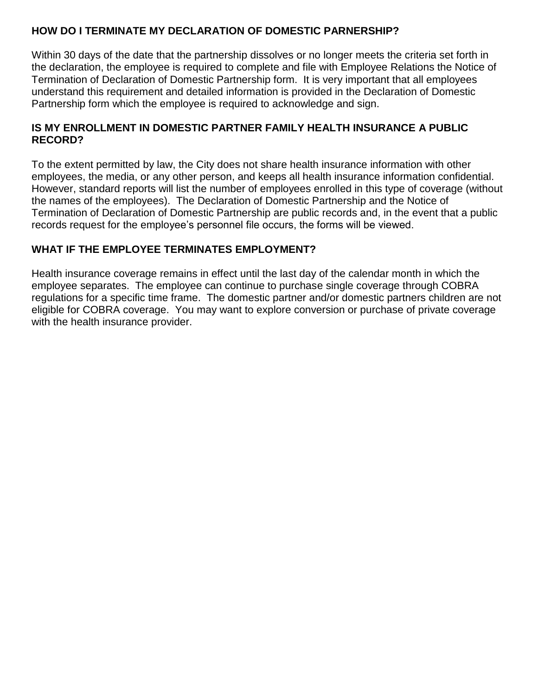## **HOW DO I TERMINATE MY DECLARATION OF DOMESTIC PARNERSHIP?**

Within 30 days of the date that the partnership dissolves or no longer meets the criteria set forth in the declaration, the employee is required to complete and file with Employee Relations the Notice of Termination of Declaration of Domestic Partnership form. It is very important that all employees understand this requirement and detailed information is provided in the Declaration of Domestic Partnership form which the employee is required to acknowledge and sign.

## **IS MY ENROLLMENT IN DOMESTIC PARTNER FAMILY HEALTH INSURANCE A PUBLIC RECORD?**

To the extent permitted by law, the City does not share health insurance information with other employees, the media, or any other person, and keeps all health insurance information confidential. However, standard reports will list the number of employees enrolled in this type of coverage (without the names of the employees). The Declaration of Domestic Partnership and the Notice of Termination of Declaration of Domestic Partnership are public records and, in the event that a public records request for the employee's personnel file occurs, the forms will be viewed.

# **WHAT IF THE EMPLOYEE TERMINATES EMPLOYMENT?**

Health insurance coverage remains in effect until the last day of the calendar month in which the employee separates. The employee can continue to purchase single coverage through COBRA regulations for a specific time frame. The domestic partner and/or domestic partners children are not eligible for COBRA coverage. You may want to explore conversion or purchase of private coverage with the health insurance provider.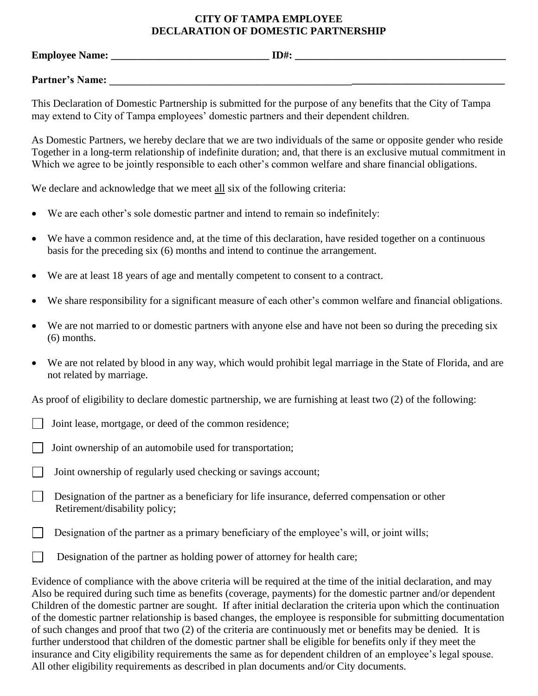#### **CITY OF TAMPA EMPLOYEE DECLARATION OF DOMESTIC PARTNERSHIP**

**Employee Name: \_\_\_\_\_\_\_\_\_\_\_\_\_\_\_\_\_\_\_\_\_\_\_\_\_\_\_\_\_\_ ID#: \_\_\_\_\_\_\_\_\_\_\_\_\_\_\_\_\_\_\_\_\_\_\_\_\_\_\_\_\_\_\_\_\_\_\_\_\_\_\_\_**

Partner's Name:

This Declaration of Domestic Partnership is submitted for the purpose of any benefits that the City of Tampa may extend to City of Tampa employees' domestic partners and their dependent children.

As Domestic Partners, we hereby declare that we are two individuals of the same or opposite gender who reside Together in a long-term relationship of indefinite duration; and, that there is an exclusive mutual commitment in Which we agree to be jointly responsible to each other's common welfare and share financial obligations.

We declare and acknowledge that we meet all six of the following criteria:

- We are each other's sole domestic partner and intend to remain so indefinitely:
- We have a common residence and, at the time of this declaration, have resided together on a continuous basis for the preceding six (6) months and intend to continue the arrangement.
- We are at least 18 years of age and mentally competent to consent to a contract.
- We share responsibility for a significant measure of each other's common welfare and financial obligations.
- We are not married to or domestic partners with anyone else and have not been so during the preceding six (6) months.
- We are not related by blood in any way, which would prohibit legal marriage in the State of Florida, and are not related by marriage.

As proof of eligibility to declare domestic partnership, we are furnishing at least two (2) of the following:

- Joint lease, mortgage, or deed of the common residence;
- Joint ownership of an automobile used for transportation;
- Joint ownership of regularly used checking or savings account;
- $\Box$  Designation of the partner as a beneficiary for life insurance, deferred compensation or other Retirement/disability policy;
- Designation of the partner as a primary beneficiary of the employee's will, or joint wills;
- Designation of the partner as holding power of attorney for health care;

Evidence of compliance with the above criteria will be required at the time of the initial declaration, and may Also be required during such time as benefits (coverage, payments) for the domestic partner and/or dependent Children of the domestic partner are sought. If after initial declaration the criteria upon which the continuation of the domestic partner relationship is based changes, the employee is responsible for submitting documentation of such changes and proof that two (2) of the criteria are continuously met or benefits may be denied. It is further understood that children of the domestic partner shall be eligible for benefits only if they meet the insurance and City eligibility requirements the same as for dependent children of an employee's legal spouse. All other eligibility requirements as described in plan documents and/or City documents.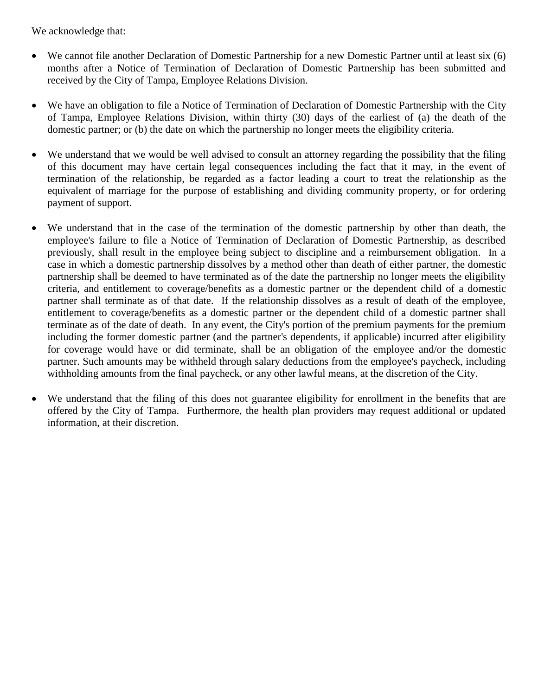We acknowledge that:

- We cannot file another Declaration of Domestic Partnership for a new Domestic Partner until at least six (6) months after a Notice of Termination of Declaration of Domestic Partnership has been submitted and received by the City of Tampa, Employee Relations Division.
- We have an obligation to file a Notice of Termination of Declaration of Domestic Partnership with the City of Tampa, Employee Relations Division, within thirty (30) days of the earliest of (a) the death of the domestic partner; or (b) the date on which the partnership no longer meets the eligibility criteria.
- We understand that we would be well advised to consult an attorney regarding the possibility that the filing of this document may have certain legal consequences including the fact that it may, in the event of termination of the relationship, be regarded as a factor leading a court to treat the relationship as the equivalent of marriage for the purpose of establishing and dividing community property, or for ordering payment of support.
- We understand that in the case of the termination of the domestic partnership by other than death, the employee's failure to file a Notice of Termination of Declaration of Domestic Partnership, as described previously, shall result in the employee being subject to discipline and a reimbursement obligation. In a case in which a domestic partnership dissolves by a method other than death of either partner, the domestic partnership shall be deemed to have terminated as of the date the partnership no longer meets the eligibility criteria, and entitlement to coverage/benefits as a domestic partner or the dependent child of a domestic partner shall terminate as of that date. If the relationship dissolves as a result of death of the employee, entitlement to coverage/benefits as a domestic partner or the dependent child of a domestic partner shall terminate as of the date of death. In any event, the City's portion of the premium payments for the premium including the former domestic partner (and the partner's dependents, if applicable) incurred after eligibility for coverage would have or did terminate, shall be an obligation of the employee and/or the domestic partner. Such amounts may be withheld through salary deductions from the employee's paycheck, including withholding amounts from the final paycheck, or any other lawful means, at the discretion of the City.
- We understand that the filing of this does not guarantee eligibility for enrollment in the benefits that are offered by the City of Tampa. Furthermore, the health plan providers may request additional or updated information, at their discretion.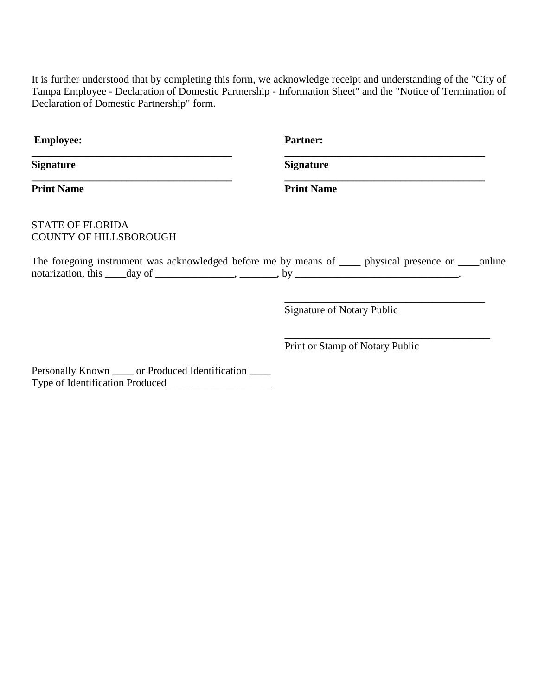It is further understood that by completing this form, we acknowledge receipt and understanding of the "City of Tampa Employee - Declaration of Domestic Partnership - Information Sheet" and the "Notice of Termination of Declaration of Domestic Partnership" form.

| <b>Employee:</b>                                                                                                                                                                                     | <b>Partner:</b>                   |
|------------------------------------------------------------------------------------------------------------------------------------------------------------------------------------------------------|-----------------------------------|
| <b>Signature</b>                                                                                                                                                                                     | <b>Signature</b>                  |
| <b>Print Name</b>                                                                                                                                                                                    | <b>Print Name</b>                 |
| <b>STATE OF FLORIDA</b><br><b>COUNTY OF HILLSBOROUGH</b>                                                                                                                                             |                                   |
| The foregoing instrument was acknowledged before me by means of _____ physical presence or ____ online<br>notarization, this $\_\_$ day of $\_\_\_\_\_$ , $\_\_\_\_\_$ , by $\_\_\_\_\_\_\_\_\_\_\_$ |                                   |
|                                                                                                                                                                                                      | <b>Signature of Notary Public</b> |
|                                                                                                                                                                                                      | Print or Stamp of Notary Public   |
| Personally Known _____ or Produced Identification ____<br>Type of Identification Produced                                                                                                            |                                   |